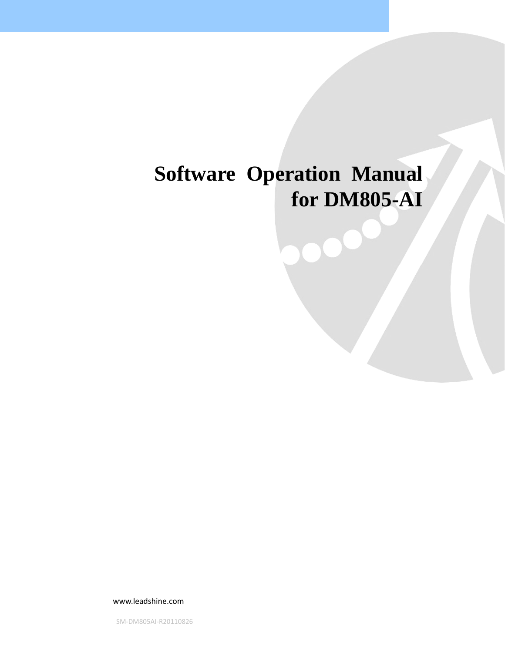# **Software Operation Manual for DM805-AI**

www.leadshine.com

SM‐DM805AI‐R20110826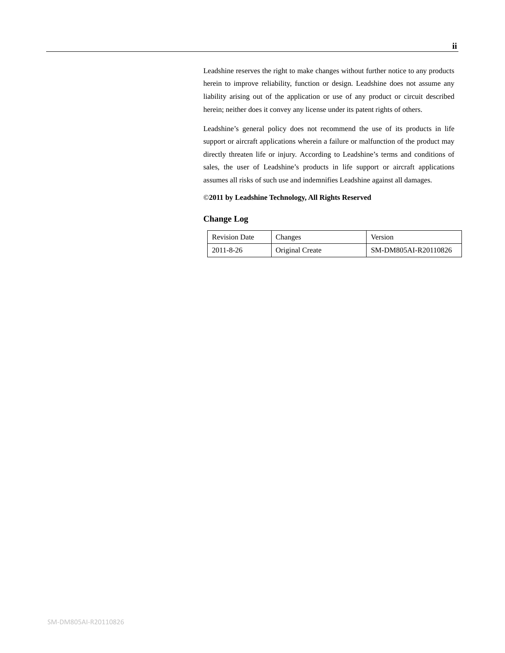Leadshine reserves the right to make changes without further notice to any products herein to improve reliability, function or design. Leadshine does not assume any liability arising out of the application or use of any product or circuit described herein; neither does it convey any license under its patent rights of others.

Leadshine's general policy does not recommend the use of its products in life support or aircraft applications wherein a failure or malfunction of the product may directly threaten life or injury. According to Leadshine's terms and conditions of sales, the user of Leadshine's products in life support or aircraft applications assumes all risks of such use and indemnifies Leadshine against all damages.

#### ©**2011 by Leadshine Technology, All Rights Reserved**

#### **Change Log**

| <b>Revision Date</b> | Changes         | Version              |  |  |
|----------------------|-----------------|----------------------|--|--|
| 2011-8-26            | Original Create | SM-DM805AI-R20110826 |  |  |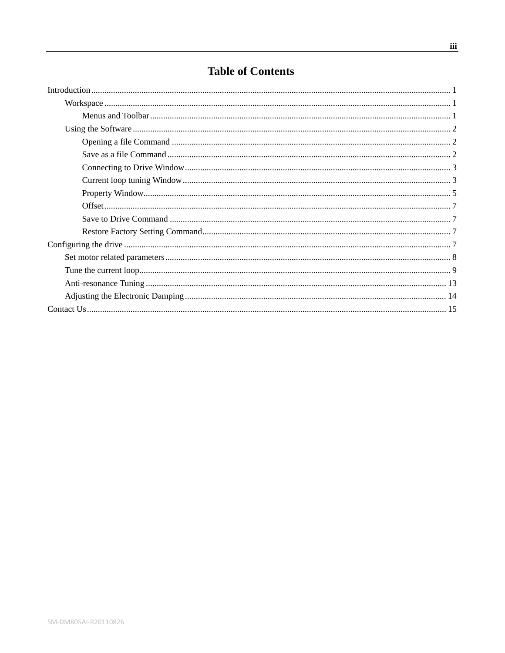## **Table of Contents**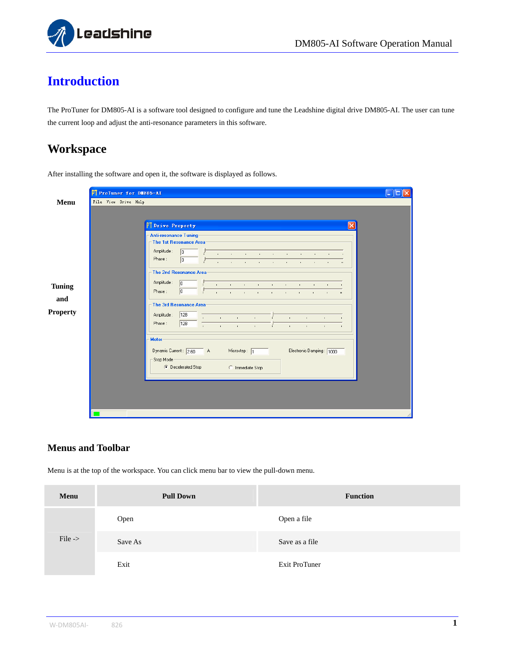

## <span id="page-3-0"></span>**Introduction**

The ProTuner for DM805-AI is a software tool designed to configure and tune the Leadshine digital drive DM805-AI. The user can tune the current loop and adjust the anti-resonance parameters in this software.

## <span id="page-3-1"></span>**Workspace**

| PT ProTuner for DE805-AI |                                                                                                                                       |
|--------------------------|---------------------------------------------------------------------------------------------------------------------------------------|
| File View Drive Help     |                                                                                                                                       |
|                          |                                                                                                                                       |
|                          |                                                                                                                                       |
|                          | <sup>P</sup> Drive Property<br>×                                                                                                      |
|                          | <b>Anti-resonance Tuning</b><br>$\overline{\phantom{a}}$ The 1st Resonance Area:                                                      |
|                          | Amplitude :<br>$\sqrt{0}$                                                                                                             |
|                          | and the property of the control of the control of the control of the control of<br>Phase:<br>$\sqrt{0}$                               |
|                          | the contract of the contract of the con-<br>$\sim$ 100 $\pm$<br>$\mathbf{L}$                                                          |
|                          | The 2nd Resonance Area:                                                                                                               |
|                          | Amplitude:<br> 0 <br>and the state of the control of the control of the control of<br><b>Contract Contract</b><br><b>The Contract</b> |
|                          | $\sqrt{0}$<br>Phase:<br>$\sim 10^{-1}$<br>the contract of the contract of the contract of the contract of                             |
|                          | The 3rd Resonance Area                                                                                                                |
|                          | 128                                                                                                                                   |
|                          | Amplitude:<br>and the company<br>$\mathbf{r}$ .<br>$\mathbf{r} = \mathbf{r}$<br>$\mathbf{r}$ .<br>Phase:<br>128                       |
|                          | $\mathbf{r} = \mathbf{r}$<br>$\mathcal{A}$<br><b>Contractor</b><br>$\mathbf{r}$<br>$\mathbf{r}$ .<br>$\mathbf{r}$                     |
|                          | Motor                                                                                                                                 |
|                          | Electronic Damping: 1000<br>Dynamic Current: 2.60 A<br>Microstep: $\sqrt{1}$                                                          |
|                          | Stop Mode-                                                                                                                            |
|                          | C Decelerated Stop<br>C Immediate Stop                                                                                                |
|                          |                                                                                                                                       |
|                          |                                                                                                                                       |
|                          |                                                                                                                                       |
|                          |                                                                                                                                       |
|                          |                                                                                                                                       |
|                          |                                                                                                                                       |

After installing the software and open it, the software is displayed as follows.

#### <span id="page-3-2"></span>**Menus and Toolbar**

Menu is at the top of the workspace. You can click menu bar to view the pull-down menu.

| Menu               | <b>Pull Down</b> | <b>Function</b> |
|--------------------|------------------|-----------------|
|                    | Open             | Open a file     |
| File $\rightarrow$ | Save As          | Save as a file  |
|                    | Exit             | Exit ProTuner   |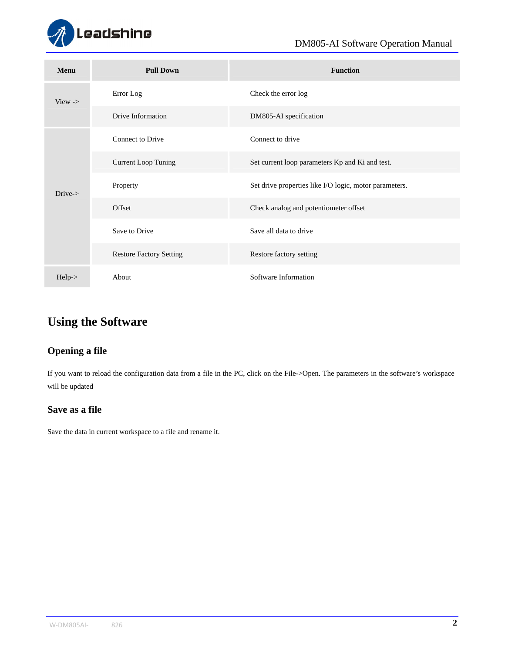

| Menu               | <b>Pull Down</b>               | <b>Function</b>                                        |  |  |  |  |
|--------------------|--------------------------------|--------------------------------------------------------|--|--|--|--|
| View $\rightarrow$ | Error Log                      | Check the error log                                    |  |  |  |  |
|                    | Drive Information              | DM805-AI specification                                 |  |  |  |  |
|                    | <b>Connect to Drive</b>        | Connect to drive                                       |  |  |  |  |
|                    | <b>Current Loop Tuning</b>     | Set current loop parameters Kp and Ki and test.        |  |  |  |  |
| $Dirive-$          | Property                       | Set drive properties like I/O logic, motor parameters. |  |  |  |  |
|                    | Offset                         | Check analog and potentiometer offset                  |  |  |  |  |
|                    | Save to Drive                  | Save all data to drive                                 |  |  |  |  |
|                    | <b>Restore Factory Setting</b> | Restore factory setting                                |  |  |  |  |
| $Help-$            | About                          | Software Information                                   |  |  |  |  |

## <span id="page-4-0"></span>**Using the Software**

### <span id="page-4-1"></span>**Opening a file**

If you want to reload the configuration data from a file in the PC, click on the File->Open. The parameters in the software's workspace will be updated

#### <span id="page-4-2"></span>**Save as a file**

Save the data in current workspace to a file and rename it.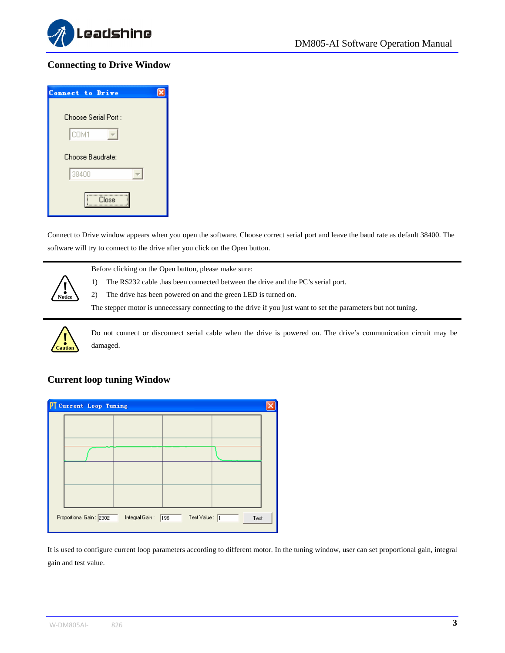

#### <span id="page-5-0"></span>**Connecting to Drive Window**

| Connect to Drive     |
|----------------------|
|                      |
| Choose Serial Port : |
| COM1                 |
| Choose Baudrate:     |
| 38400                |
| Close                |

Connect to Drive window appears when you open the software. Choose correct serial port and leave the baud rate as default 38400. The software will try to connect to the drive after you click on the Open button.



Before clicking on the Open button, please make sure:

1) The RS232 cable .has been connected between the drive and the PC's serial port.

2) The drive has been powered on and the green LED is turned on.

The stepper motor is unnecessary connecting to the drive if you just want to set the parameters but not tuning.



Do not connect or disconnect serial cable when the drive is powered on. The drive's communication circuit may be damaged.

#### **Current loop tuning Window**

<span id="page-5-1"></span>

It is used to configure current loop parameters according to different motor. In the tuning window, user can set proportional gain, integral gain and test value.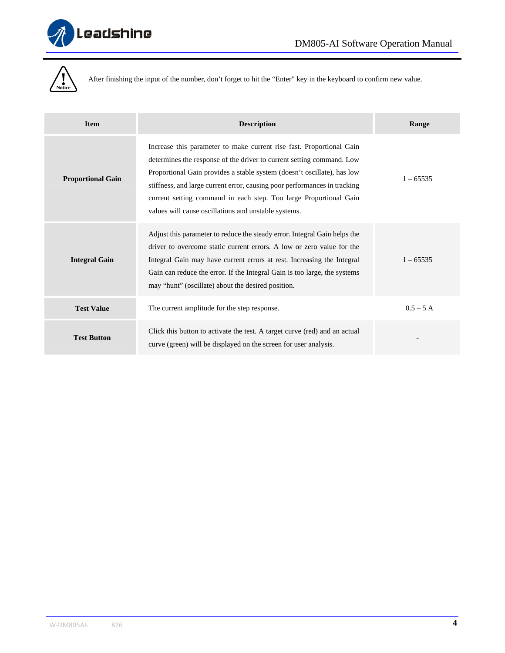



After finishing the input of the number, don't forget to hit the "Enter" key in the keyboard to confirm new value.

| <b>Item</b>              | <b>Description</b>                                                                                                                                                                                                                                                                                                                                                                                                                 | Range       |
|--------------------------|------------------------------------------------------------------------------------------------------------------------------------------------------------------------------------------------------------------------------------------------------------------------------------------------------------------------------------------------------------------------------------------------------------------------------------|-------------|
| <b>Proportional Gain</b> | Increase this parameter to make current rise fast. Proportional Gain<br>determines the response of the driver to current setting command. Low<br>Proportional Gain provides a stable system (doesn't oscillate), has low<br>stiffness, and large current error, causing poor performances in tracking<br>current setting command in each step. Too large Proportional Gain<br>values will cause oscillations and unstable systems. | $1 - 65535$ |
| <b>Integral Gain</b>     | Adjust this parameter to reduce the steady error. Integral Gain helps the<br>driver to overcome static current errors. A low or zero value for the<br>Integral Gain may have current errors at rest. Increasing the Integral<br>Gain can reduce the error. If the Integral Gain is too large, the systems<br>may "hunt" (oscillate) about the desired position.                                                                    | $1 - 65535$ |
| <b>Test Value</b>        | The current amplitude for the step response.                                                                                                                                                                                                                                                                                                                                                                                       | $0.5 - 5 A$ |
| <b>Test Button</b>       | Click this button to activate the test. A target curve (red) and an actual<br>curve (green) will be displayed on the screen for user analysis.                                                                                                                                                                                                                                                                                     |             |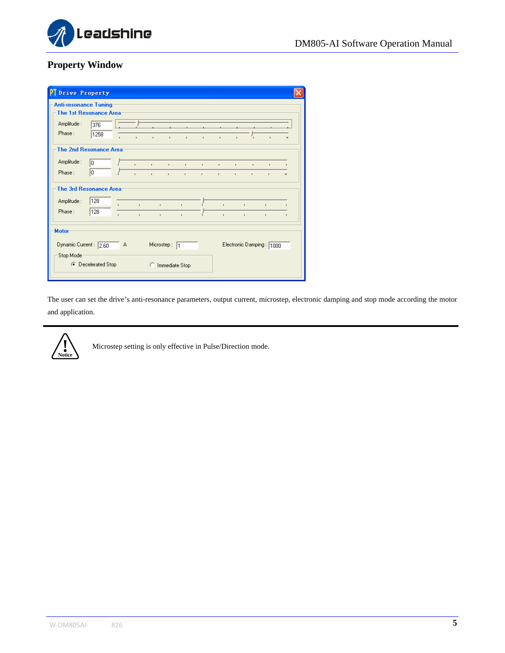

## **Property Window**

| Drive Property                                                                         |                           |              |                              |                              |                              |                              |                              |                                |                              |                              |                                |              |
|----------------------------------------------------------------------------------------|---------------------------|--------------|------------------------------|------------------------------|------------------------------|------------------------------|------------------------------|--------------------------------|------------------------------|------------------------------|--------------------------------|--------------|
| <b>Anti-resonance Tuning</b><br><b>The 1st Resonance Area</b><br>Amplitude :<br>Phase: | 376<br>1258               | $\mathbf{I}$ | $\mathbf{r}$                 | $\mathbf{I}$                 | $\mathbf{I}$                 | $\mathbf{I}$                 | $\mathbf{I}$                 | $\mathbf{r}$ .                 |                              |                              | $\mathbf{I}$                   | $\mathbf{u}$ |
| <b>The 2nd Resonance Area</b>                                                          |                           |              |                              |                              |                              |                              |                              |                                |                              |                              |                                |              |
| Amplitude:<br>Phase:                                                                   | lo.<br>10                 |              | ×.<br>$\mathbf{r}$           | $\mathbf{L}$<br>$\mathbf{r}$ | $\mathbf{L}$<br>$\mathbf{L}$ | $\mathbf{L}$<br>$\mathbf{L}$ | $\mathbf{L}$<br>$\mathbf{I}$ | $\mathbf{L}$ .<br>$\mathbf{I}$ | $\mathbf{L}$<br>$\mathbf{r}$ | $\mathbf{I}$<br>$\mathbf{I}$ | $\mathbf{I}$<br>$\mathbf{I}$   | $\mathbf{u}$ |
| <b>The 3rd Resonance Area</b>                                                          |                           |              |                              |                              |                              |                              |                              |                                |                              |                              |                                |              |
| Amplitude:<br>Phase:                                                                   | 128<br>128                |              | $\mathbf{r}$<br>$\mathbf{I}$ | $\sim$<br>$\mathbf{r}$       |                              | $\mathbf{r}$                 |                              | $\mathbf{r}$                   |                              | r.<br>×.                     | $\blacksquare$<br>$\mathbf{r}$ |              |
| <b>Motor</b>                                                                           |                           |              |                              |                              |                              |                              |                              |                                |                              |                              |                                |              |
| Dynamic Current: 2.60<br>Stop Mode                                                     |                           | Α            |                              |                              | Microstep: 1                 |                              |                              |                                |                              |                              | Electronic Damping: 1000       |              |
|                                                                                        | <b>C</b> Decelerated Stop |              |                              |                              | C Immediate Stop             |                              |                              |                                |                              |                              |                                |              |

The user can set the drive's anti-resonance parameters, output current, microstep, electronic damping and stop mode according the motor and application.

<span id="page-7-0"></span>

Microstep setting is only effective in Pulse/Direction mode.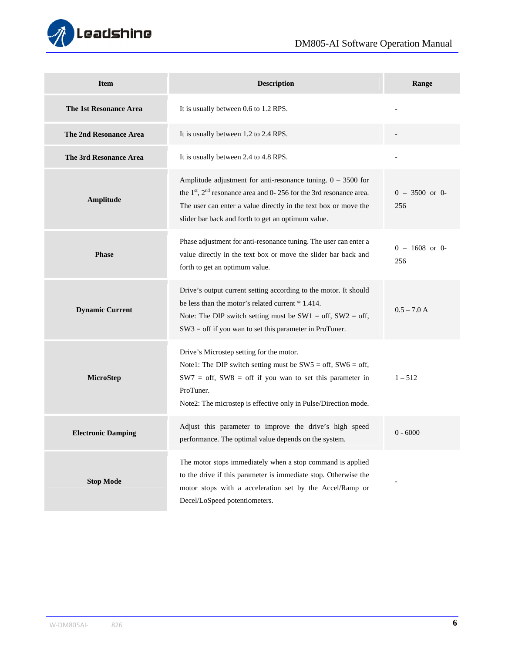

| <b>Item</b>                   | <b>Description</b>                                                                                                                                                                                                                                                 | Range                   |
|-------------------------------|--------------------------------------------------------------------------------------------------------------------------------------------------------------------------------------------------------------------------------------------------------------------|-------------------------|
| The 1st Resonance Area        | It is usually between 0.6 to 1.2 RPS.                                                                                                                                                                                                                              |                         |
| The 2nd Resonance Area        | It is usually between 1.2 to 2.4 RPS.                                                                                                                                                                                                                              |                         |
| <b>The 3rd Resonance Area</b> | It is usually between 2.4 to 4.8 RPS.                                                                                                                                                                                                                              |                         |
| Amplitude                     | Amplitude adjustment for anti-resonance tuning. $0 - 3500$ for<br>the $1st$ , $2nd$ resonance area and 0- 256 for the 3rd resonance area.<br>The user can enter a value directly in the text box or move the<br>slider bar back and forth to get an optimum value. | $0 - 3500$ or 0-<br>256 |
| <b>Phase</b>                  | Phase adjustment for anti-resonance tuning. The user can enter a<br>value directly in the text box or move the slider bar back and<br>forth to get an optimum value.                                                                                               | $0 - 1608$ or 0-<br>256 |
| <b>Dynamic Current</b>        | Drive's output current setting according to the motor. It should<br>be less than the motor's related current * 1.414.<br>Note: The DIP switch setting must be $SW1 = off$ , $SW2 = off$ ,<br>$SW3 =$ off if you wan to set this parameter in ProTuner.             | $0.5 - 7.0 A$           |
| MicroStep                     | Drive's Microstep setting for the motor.<br>Note1: The DIP switch setting must be $SW5 = off$ , $SW6 = off$ ,<br>$SW7 = off$ , SW8 = off if you wan to set this parameter in<br>ProTuner.<br>Note2: The microstep is effective only in Pulse/Direction mode.       | $1 - 512$               |
| <b>Electronic Damping</b>     | Adjust this parameter to improve the drive's high speed<br>performance. The optimal value depends on the system.                                                                                                                                                   | $0 - 6000$              |
| <b>Stop Mode</b>              | The motor stops immediately when a stop command is applied<br>to the drive if this parameter is immediate stop. Otherwise the<br>motor stops with a acceleration set by the Accel/Ramp or<br>Decel/LoSpeed potentiometers.                                         |                         |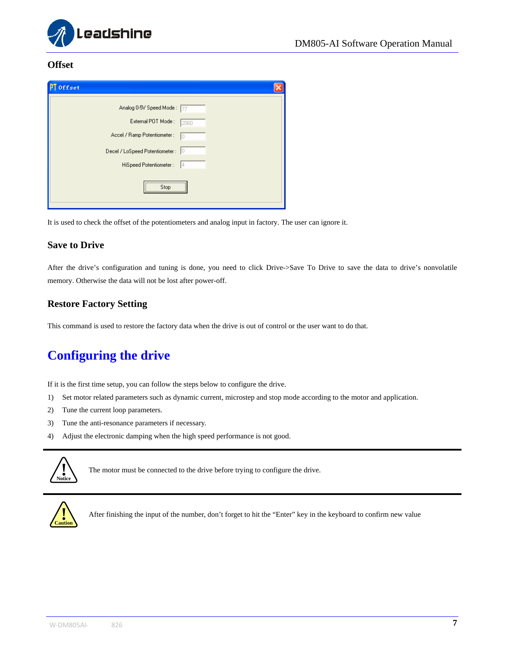

#### <span id="page-9-0"></span>**Offset**

| ÞТ<br><b>Offset</b>                   |
|---------------------------------------|
| Analog 0-5V Speed Mode: 77            |
| External POT Mode:<br>2060            |
| Accel / Ramp Potentiometer :<br>In    |
| 10<br>Decel / LoSpeed Potentiometer : |
| HiSpeed Potentiometer :<br>14         |
| Ston                                  |

It is used to check the offset of the potentiometers and analog input in factory. The user can ignore it.

#### <span id="page-9-1"></span>**Save to Drive**

After the drive's configuration and tuning is done, you need to click Drive->Save To Drive to save the data to drive's nonvolatile memory. Otherwise the data will not be lost after power-off.

#### <span id="page-9-2"></span>**Restore Factory Setting**

This command is used to restore the factory data when the drive is out of control or the user want to do that.

## <span id="page-9-3"></span>**Configuring the drive**

If it is the first time setup, you can follow the steps below to configure the drive.

- 1) Set motor related parameters such as dynamic current, microstep and stop mode according to the motor and application.
- 2) Tune the current loop parameters.
- 3) Tune the anti-resonance parameters if necessary.
- 4) Adjust the electronic damping when the high speed performance is not good.



The motor must be connected to the drive before trying to configure the drive.



After finishing the input of the number, don't forget to hit the "Enter" key in the keyboard to confirm new value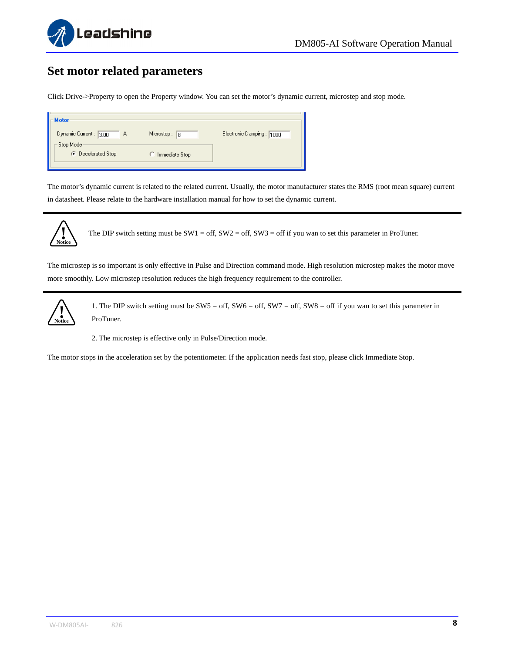

## <span id="page-10-0"></span>**Set motor related parameters**

Click Drive->Property to open the Property window. You can set the motor's dynamic current, microstep and stop mode.

| Motor                           |                  |                          |
|---------------------------------|------------------|--------------------------|
| Dynamic Current: 3.00<br>Α      | Microstep:<br>18 | Electronic Damping: 1000 |
| Stop Mode<br>C Decelerated Stop | Immediate Stop   |                          |
|                                 |                  |                          |

The motor's dynamic current is related to the related current. Usually, the motor manufacturer states the RMS (root mean square) current in datasheet. Please relate to the hardware installation manual for how to set the dynamic current.



The DIP switch setting must be  $SW1 = off$ ,  $SW2 = off$ ,  $SW3 = off$  if you wan to set this parameter in ProTuner.

The microstep is so important is only effective in Pulse and Direction command mode. High resolution microstep makes the motor move more smoothly. Low microstep resolution reduces the high frequency requirement to the controller.



1. The DIP switch setting must be SW5 = off, SW6 = off, SW7 = off, SW8 = off if you wan to set this parameter in ProTuner.

2. The microstep is effective only in Pulse/Direction mode.

The motor stops in the acceleration set by the potentiometer. If the application needs fast stop, please click Immediate Stop.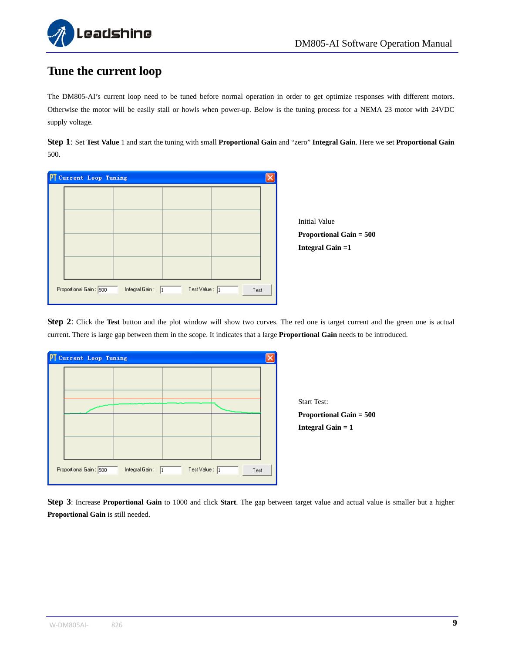

## <span id="page-11-0"></span>**Tune the current loop**

The DM805-AI's current loop need to be tuned before normal operation in order to get optimize responses with different motors. Otherwise the motor will be easily stall or howls when power-up. Below is the tuning process for a NEMA 23 motor with 24VDC supply voltage.

**Step 1**: Set **Test Value** 1 and start the tuning with small **Proportional Gain** and "zero" **Integral Gain**. Here we set **Proportional Gain** 500.

| PT Current Loop Tuning |                            |                         |      |                                                        |
|------------------------|----------------------------|-------------------------|------|--------------------------------------------------------|
|                        |                            |                         |      | <b>Initial Value</b><br><b>Proportional Gain = 500</b> |
|                        |                            |                         |      | Integral Gain $=1$                                     |
| Proportional Gain: 500 | Integral Gain: $\boxed{1}$ | Test Value : $\sqrt{1}$ | Test |                                                        |

**Step 2**: Click the **Test** button and the plot window will show two curves. The red one is target current and the green one is actual current. There is large gap between them in the scope. It indicates that a large **Proportional Gain** needs to be introduced.





**Step 3**: Increase **Proportional Gain** to 1000 and click **Start**. The gap between target value and actual value is smaller but a higher **Proportional Gain** is still needed.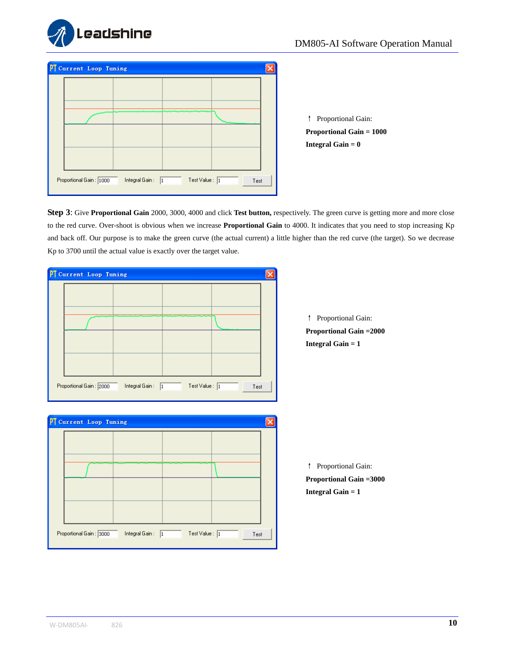

| <sup>p</sup> Current Loop Tuning |                             |                         |      |  |
|----------------------------------|-----------------------------|-------------------------|------|--|
|                                  |                             |                         |      |  |
|                                  |                             |                         |      |  |
|                                  |                             |                         |      |  |
|                                  |                             |                         |      |  |
|                                  |                             |                         |      |  |
|                                  |                             |                         |      |  |
|                                  |                             |                         |      |  |
| Proportional Gain: 1000          | Integral Gain:<br>$\vert$ 1 | Test Value : $\sqrt{1}$ | Test |  |
|                                  |                             |                         |      |  |

↑ Proportional Gain: **Proportional Gain = 1000 Integral Gain = 0**

**Step 3**: Give **Proportional Gain** 2000, 3000, 4000 and click **Test button,** respectively. The green curve is getting more and more close to the red curve. Over-shoot is obvious when we increase **Proportional Gain** to 4000. It indicates that you need to stop increasing Kp and back off. Our purpose is to make the green curve (the actual current) a little higher than the red curve (the target). So we decrease Kp to 3700 until the actual value is exactly over the target value.

|                         |                            |                         |      | ↑                          |
|-------------------------|----------------------------|-------------------------|------|----------------------------|
|                         |                            |                         |      | Proport                    |
|                         |                            |                         |      | Integral                   |
|                         |                            |                         |      |                            |
| Proportional Gain: 2000 | Integral Gain: $\boxed{1}$ | Test Value : $\sqrt{1}$ | Test |                            |
|                         |                            |                         | Ι×   |                            |
|                         |                            |                         |      |                            |
|                         |                            |                         |      |                            |
|                         |                            |                         |      | ↑                          |
| PT Current Loop Tuning  |                            |                         |      |                            |
|                         |                            |                         |      | Proport<br><b>Integral</b> |

ortional Gain: **Proposed Gain =2000**  $Gain = 1$ 

ortional Gain: **Proposed Gain =3000**  $Gain = 1$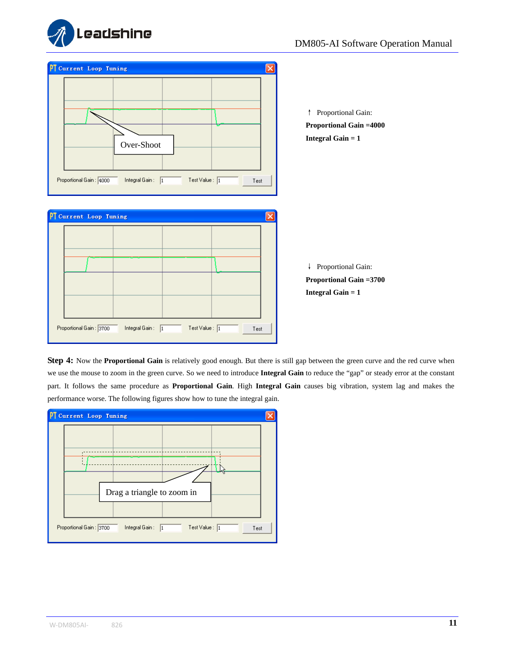



**Step 4:** Now the **Proportional Gain** is relatively good enough. But there is still gap between the green curve and the red curve when we use the mouse to zoom in the green curve. So we need to introduce **Integral Gain** to reduce the "gap" or steady error at the constant part. It follows the same procedure as **Proportional Gain**. High **Integral Gain** causes big vibration, system lag and makes the performance worse. The following figures show how to tune the integral gain.

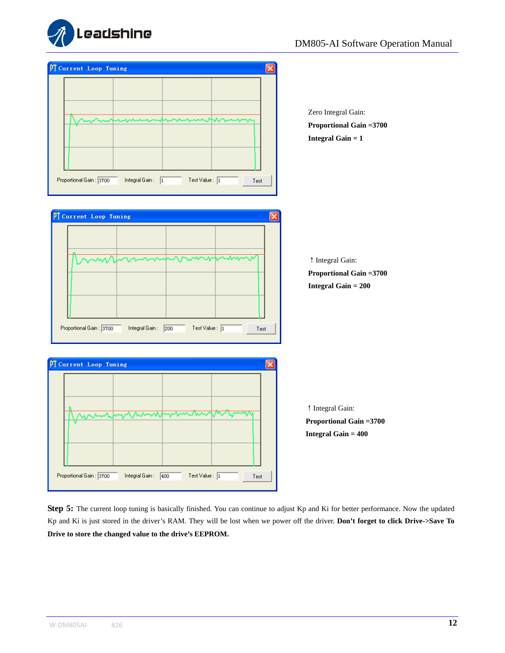



**Step 5:** The current loop tuning is basically finished. You can continue to adjust Kp and Ki for better performance. Now the updated Kp and Ki is just stored in the driver's RAM. They will be lost when we power off the driver. **Don't forget to click Drive->Save To Drive to store the changed value to the drive's EEPROM.**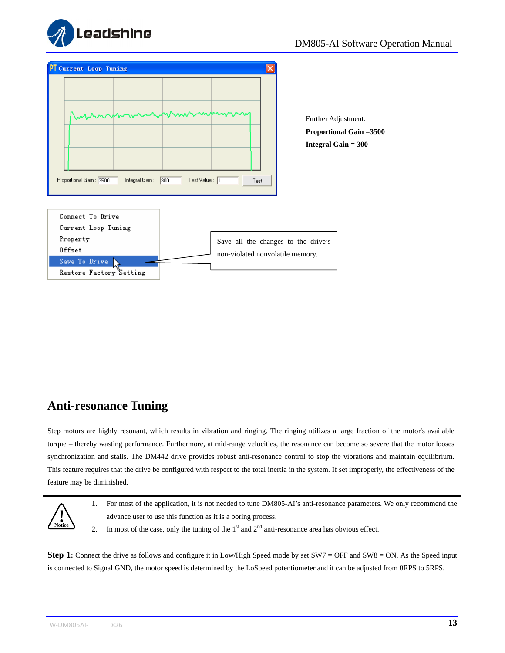

| <b>Current Loop Tuning</b><br>ΡТ                            |                                                     |                                                                                     |  |  |
|-------------------------------------------------------------|-----------------------------------------------------|-------------------------------------------------------------------------------------|--|--|
| ∼<br>Whhnnh<br>Proportional Gain: 3500<br>Integral Gain : - | nhummmmnn<br>Test Value : $\sqrt{1}$<br>300<br>Test | Further Adjustment:<br><b>Proportional Gain =3500</b><br><b>Integral Gain = 300</b> |  |  |
| Connect To Drive                                            |                                                     |                                                                                     |  |  |
| Current Loop Tuning                                         |                                                     |                                                                                     |  |  |
| Property                                                    |                                                     | Save all the changes to the drive's                                                 |  |  |
| Offset                                                      |                                                     | non-violated nonvolatile memory.                                                    |  |  |
| Save To Drive                                               |                                                     |                                                                                     |  |  |
| Restore Factory Setting                                     |                                                     |                                                                                     |  |  |

## <span id="page-15-0"></span>**Anti-resonance Tuning**

Step motors are highly resonant, which results in vibration and ringing. The ringing utilizes a large fraction of the motor's available torque – thereby wasting performance. Furthermore, at mid-range velocities, the resonance can become so severe that the motor looses synchronization and stalls. The DM442 drive provides robust anti-resonance control to stop the vibrations and maintain equilibrium. This feature requires that the drive be configured with respect to the total inertia in the system. If set improperly, the effectiveness of the feature may be diminished.



- 1. For most of the application, it is not needed to tune DM805-AI's anti-resonance parameters. We only recommend the advance user to use this function as it is a boring process.
- 2. In most of the case, only the tuning of the  $1<sup>st</sup>$  and  $2<sup>nd</sup>$  anti-resonance area has obvious effect.

**Step 1:** Connect the drive as follows and configure it in Low/High Speed mode by set SW7 = OFF and SW8 = ON. As the Speed input is connected to Signal GND, the motor speed is determined by the LoSpeed potentiometer and it can be adjusted from 0RPS to 5RPS.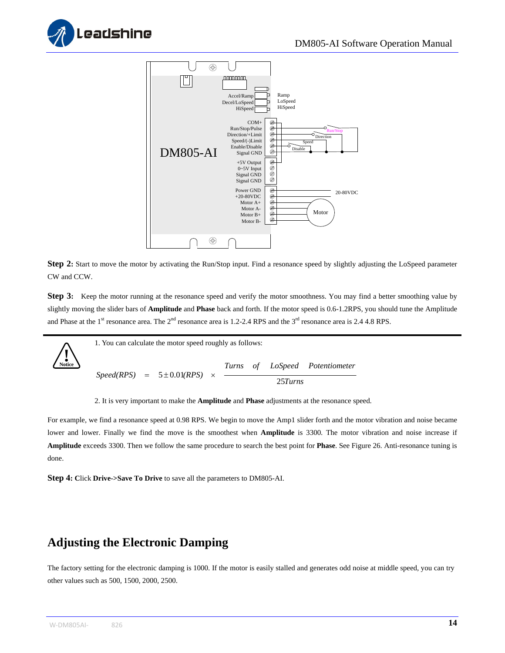





Step 2: Start to move the motor by activating the Run/Stop input. Find a resonance speed by slightly adjusting the LoSpeed parameter CW and CCW.

**Step 3:** Keep the motor running at the resonance speed and verify the motor smoothness. You may find a better smoothing value by slightly moving the slider bars of **Amplitude** and **Phase** back and forth. If the motor speed is 0.6-1.2RPS, you should tune the Amplitude and Phase at the  $1<sup>st</sup>$  resonance area. The  $2<sup>nd</sup>$  resonance area is 1.2-2.4 RPS and the  $3<sup>rd</sup>$  resonance area is 2.4 4.8 RPS.



2. It is very important to make the **Amplitude** and **Phase** adjustments at the resonance speed.

For example, we find a resonance speed at 0.98 RPS. We begin to move the Amp1 slider forth and the motor vibration and noise became lower and lower. Finally we find the move is the smoothest when **Amplitude** is 3300. The motor vibration and noise increase if **Amplitude** exceeds 3300. Then we follow the same procedure to search the best point for **Phase**. See Figure 26. Anti-resonance tuning is done.

**Step 4: C**lick **Drive->Save To Drive** to save all the parameters to DM805-AI.

## <span id="page-16-0"></span>**Adjusting the Electronic Damping**

The factory setting for the electronic damping is 1000. If the motor is easily stalled and generates odd noise at middle speed, you can try other values such as 500, 1500, 2000, 2500.